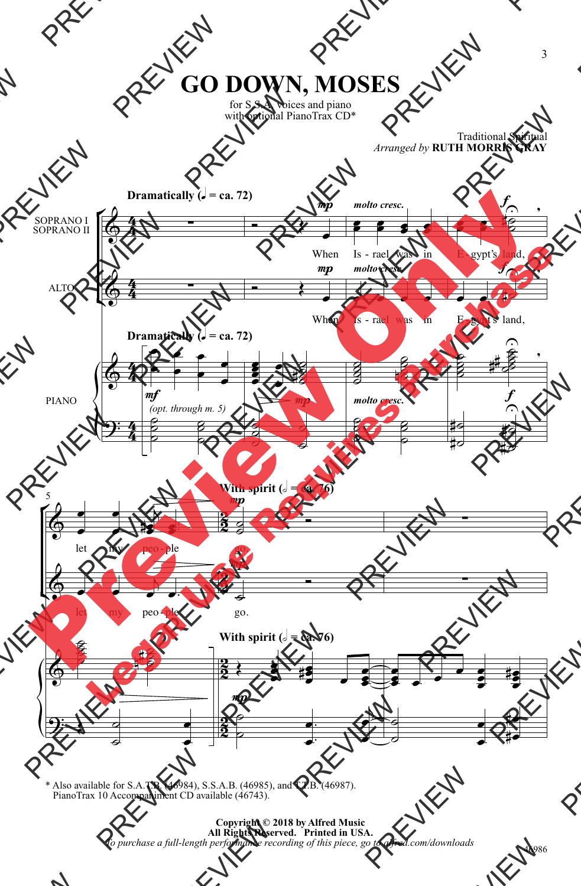## **GO DOWN, MOSES**

for S.S.A. voices and piano with optional PianoTrax CD\*

## Traditional Spiritual *Arranged by* **RUTH MORRIS GRAY**



\* Also available for S.A.T.B. (46984), S.S.A.B. (46985), and T.T.B. (46987). PianoTrax 10 Accompaniment CD available (46743).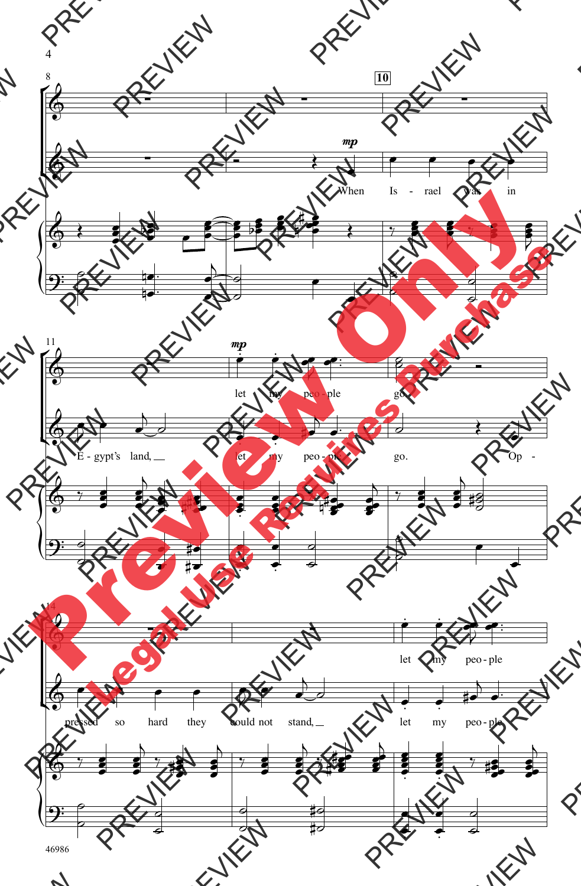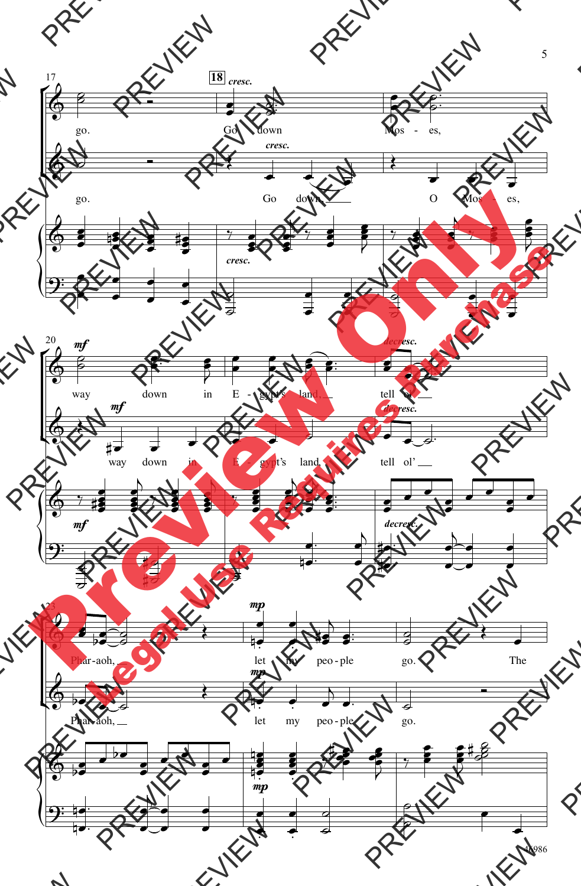

46986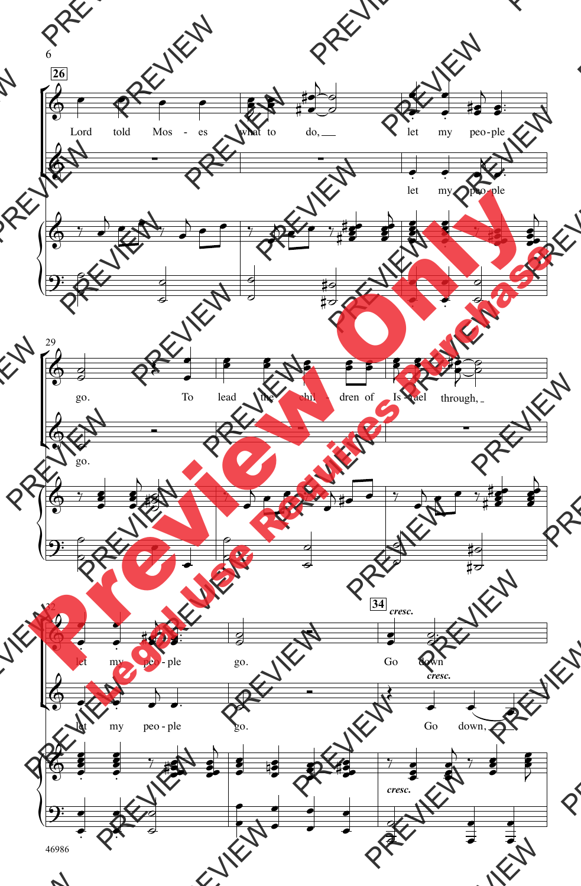

46986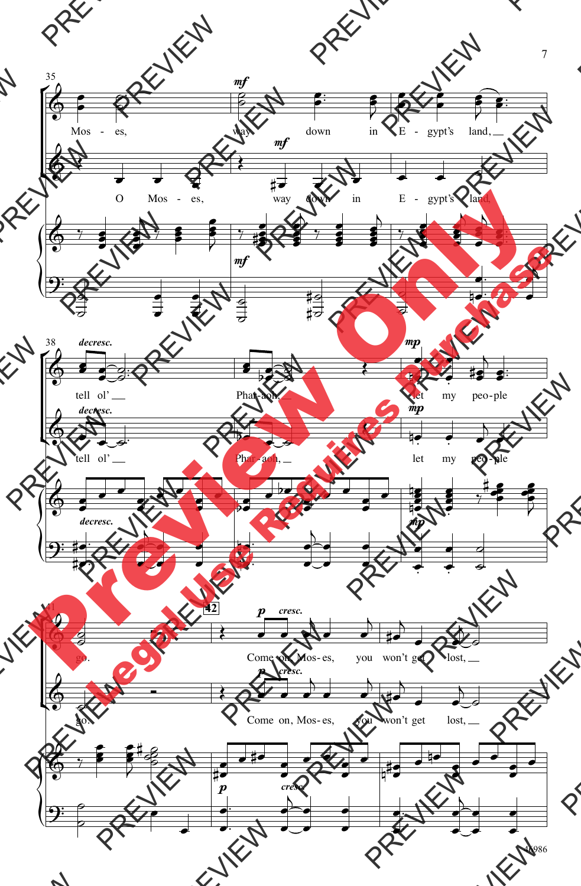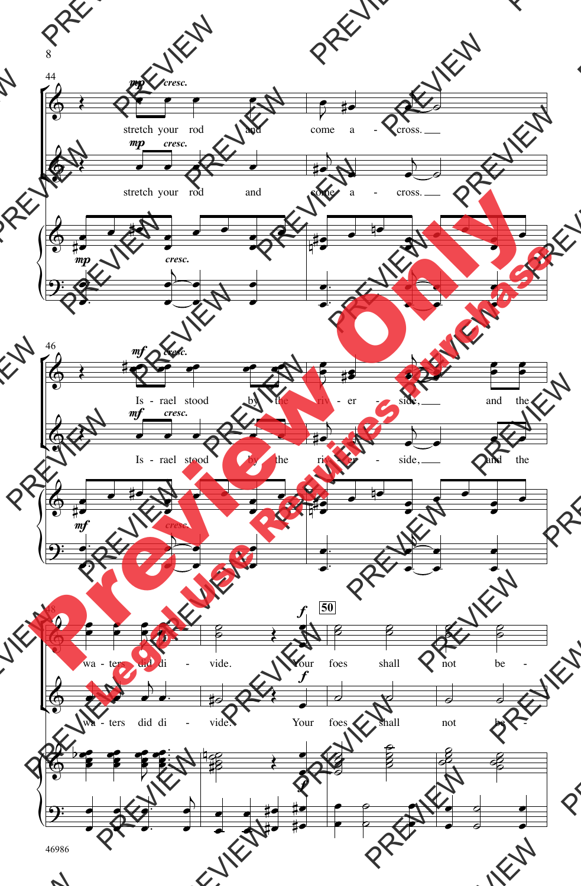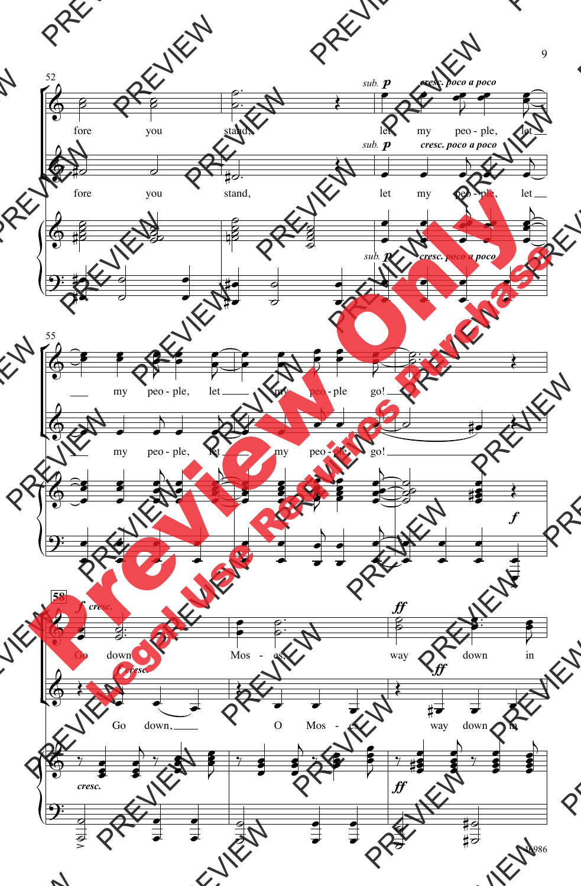